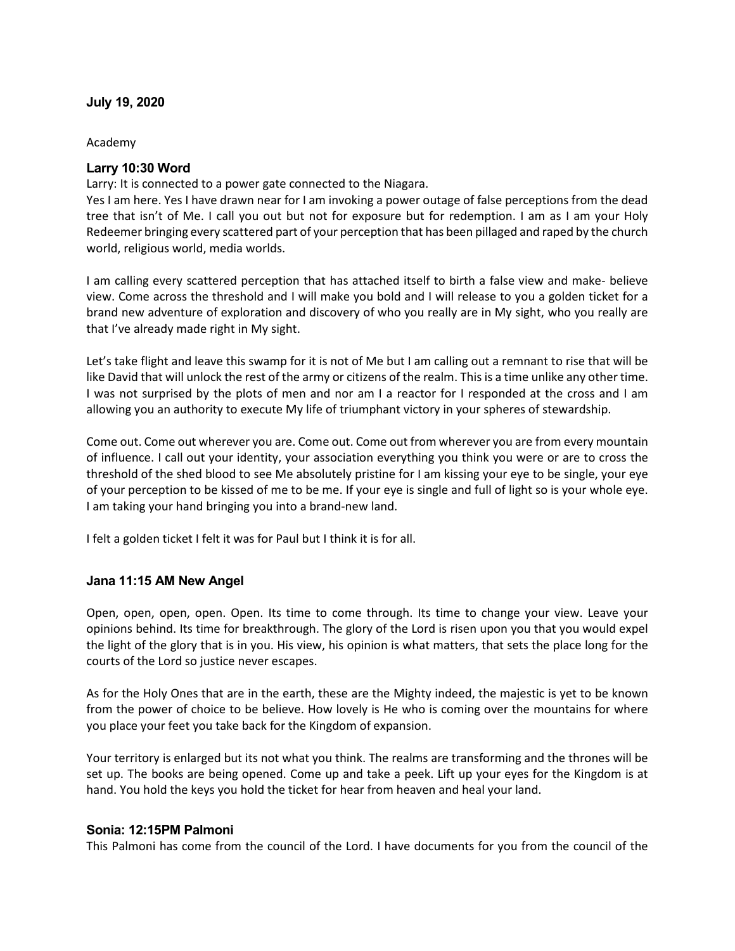## **July 19, 2020**

#### Academy

### **Larry 10:30 Word**

Larry: It is connected to a power gate connected to the Niagara.

Yes I am here. Yes I have drawn near for I am invoking a power outage of false perceptions from the dead tree that isn't of Me. I call you out but not for exposure but for redemption. I am as I am your Holy Redeemer bringing every scattered part of your perception that has been pillaged and raped by the church world, religious world, media worlds.

I am calling every scattered perception that has attached itself to birth a false view and make- believe view. Come across the threshold and I will make you bold and I will release to you a golden ticket for a brand new adventure of exploration and discovery of who you really are in My sight, who you really are that I've already made right in My sight.

Let's take flight and leave this swamp for it is not of Me but I am calling out a remnant to rise that will be like David that will unlock the rest of the army or citizens of the realm. This is a time unlike any other time. I was not surprised by the plots of men and nor am I a reactor for I responded at the cross and I am allowing you an authority to execute My life of triumphant victory in your spheres of stewardship.

Come out. Come out wherever you are. Come out. Come out from wherever you are from every mountain of influence. I call out your identity, your association everything you think you were or are to cross the threshold of the shed blood to see Me absolutely pristine for I am kissing your eye to be single, your eye of your perception to be kissed of me to be me. If your eye is single and full of light so is your whole eye. I am taking your hand bringing you into a brand-new land.

I felt a golden ticket I felt it was for Paul but I think it is for all.

#### **Jana 11:15 AM New Angel**

Open, open, open, open. Open. Its time to come through. Its time to change your view. Leave your opinions behind. Its time for breakthrough. The glory of the Lord is risen upon you that you would expel the light of the glory that is in you. His view, his opinion is what matters, that sets the place long for the courts of the Lord so justice never escapes.

As for the Holy Ones that are in the earth, these are the Mighty indeed, the majestic is yet to be known from the power of choice to be believe. How lovely is He who is coming over the mountains for where you place your feet you take back for the Kingdom of expansion.

Your territory is enlarged but its not what you think. The realms are transforming and the thrones will be set up. The books are being opened. Come up and take a peek. Lift up your eyes for the Kingdom is at hand. You hold the keys you hold the ticket for hear from heaven and heal your land.

#### **Sonia: 12:15PM Palmoni**

This Palmoni has come from the council of the Lord. I have documents for you from the council of the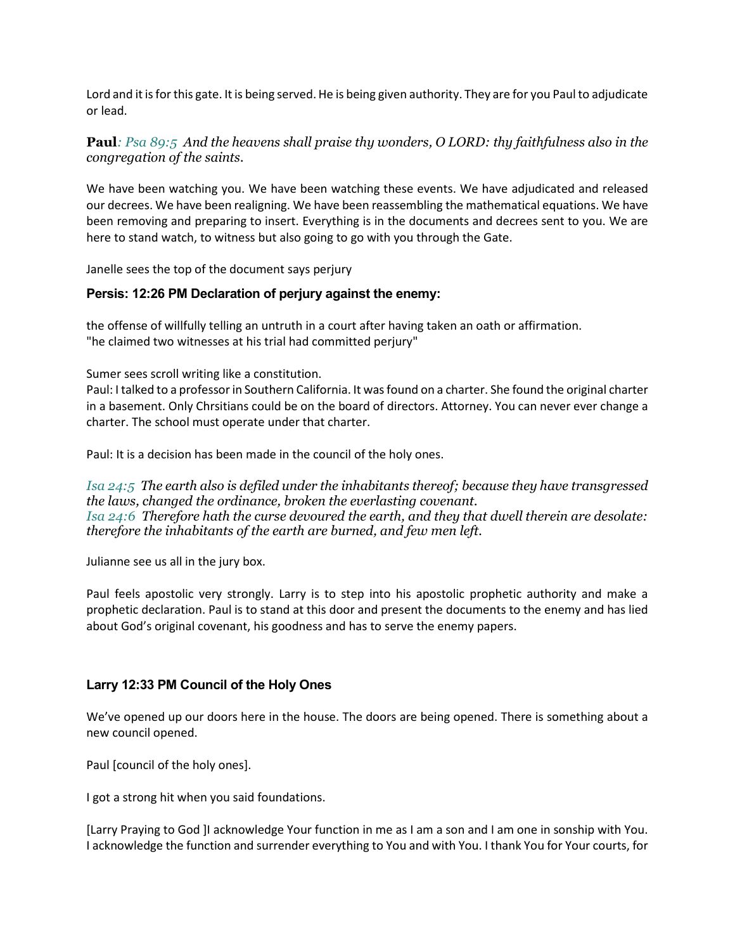Lord and it is for this gate. It is being served. He is being given authority. They are for you Paul to adjudicate or lead.

# **Paul***: Psa 89:5 And the heavens shall praise thy wonders, O LORD: thy faithfulness also in the congregation of the saints.*

We have been watching you. We have been watching these events. We have adjudicated and released our decrees. We have been realigning. We have been reassembling the mathematical equations. We have been removing and preparing to insert. Everything is in the documents and decrees sent to you. We are here to stand watch, to witness but also going to go with you through the Gate.

Janelle sees the top of the document says perjury

### **Persis: 12:26 PM Declaration of perjury against the enemy:**

the offense of willfully telling an untruth in a court after having taken an oath or affirmation. "he claimed two witnesses at his trial had committed perjury"

Sumer sees scroll writing like a constitution.

Paul: I talked to a professor in Southern California. It was found on a charter. She found the original charter in a basement. Only Chrsitians could be on the board of directors. Attorney. You can never ever change a charter. The school must operate under that charter.

Paul: It is a decision has been made in the council of the holy ones.

*Isa 24:5 The earth also is defiled under the inhabitants thereof; because they have transgressed the laws, changed the ordinance, broken the everlasting covenant. Isa 24:6 Therefore hath the curse devoured the earth, and they that dwell therein are desolate: therefore the inhabitants of the earth are burned, and few men left.*

Julianne see us all in the jury box.

Paul feels apostolic very strongly. Larry is to step into his apostolic prophetic authority and make a prophetic declaration. Paul is to stand at this door and present the documents to the enemy and has lied about God's original covenant, his goodness and has to serve the enemy papers.

#### **Larry 12:33 PM Council of the Holy Ones**

We've opened up our doors here in the house. The doors are being opened. There is something about a new council opened.

Paul [council of the holy ones].

I got a strong hit when you said foundations.

[Larry Praying to God ]I acknowledge Your function in me as I am a son and I am one in sonship with You. I acknowledge the function and surrender everything to You and with You. I thank You for Your courts, for